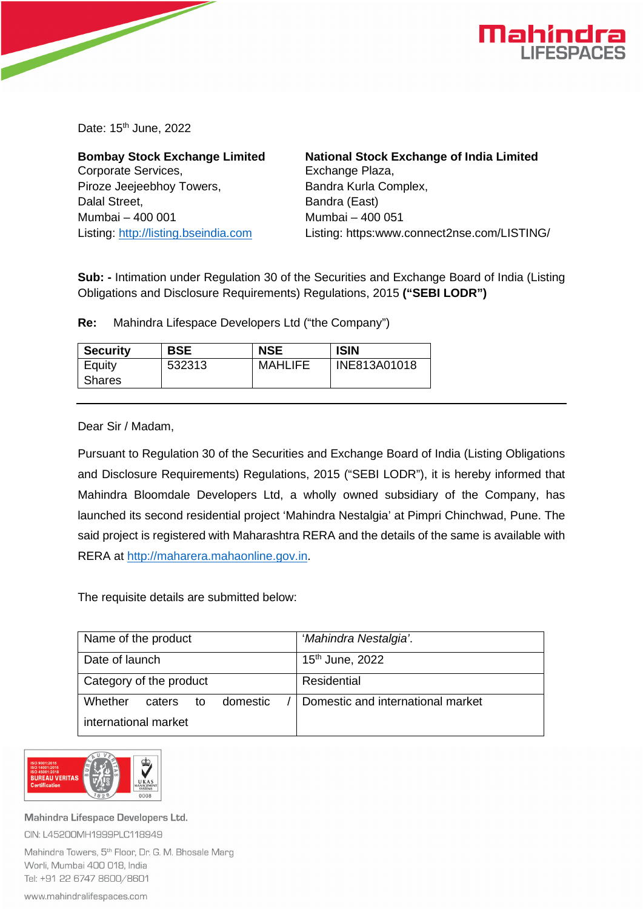

Date: 15<sup>th</sup> June, 2022

**Bombay Stock Exchange Limited**  Corporate Services, Piroze Jeejeebhoy Towers, Dalal Street, Mumbai – 400 001 Listing: [http://listing.bseindia.com](http://listing.bseindia.com/)

**National Stock Exchange of India Limited**  Exchange Plaza, Bandra Kurla Complex, Bandra (East) Mumbai – 400 051 Listing: https:www.connect2nse.com/LISTING/

**Sub: -** Intimation under Regulation 30 of the Securities and Exchange Board of India (Listing Obligations and Disclosure Requirements) Regulations, 2015 **("SEBI LODR")** 

**Re:** Mahindra Lifespace Developers Ltd ("the Company")

| <b>Security</b> | <b>BSE</b> | <b>NSE</b>     | <b>ISIN</b>  |
|-----------------|------------|----------------|--------------|
| Equity          | 532313     | <b>MAHLIFE</b> | INE813A01018 |
| Shares          |            |                |              |

Dear Sir / Madam,

Pursuant to Regulation 30 of the Securities and Exchange Board of India (Listing Obligations and Disclosure Requirements) Regulations, 2015 ("SEBI LODR"), it is hereby informed that Mahindra Bloomdale Developers Ltd, a wholly owned subsidiary of the Company, has launched its second residential project 'Mahindra Nestalgia' at Pimpri Chinchwad, Pune. The said project is registered with Maharashtra RERA and the details of the same is available with RERA at [http://maharera.mahaonline.gov.in.](http://maharera.mahaonline.gov.in/)

The requisite details are submitted below:

| Name of the product                 | 'Mahindra Nestalgia'.             |  |
|-------------------------------------|-----------------------------------|--|
| Date of launch                      | 15 <sup>th</sup> June, 2022       |  |
| Category of the product             | Residential                       |  |
| Whether<br>domestic<br>caters<br>to | Domestic and international market |  |
| international market                |                                   |  |



Mahindra Lifespace Developers Ltd. CIN: L45200MH1999PLC118949

Mahindra Towers, 5<sup>th</sup> Floor, Dr. G. M. Bhosale Marg Worli, Mumbai 400 018, India Tel: +91 22 6747 8600/8601

www.mahindralifespaces.com